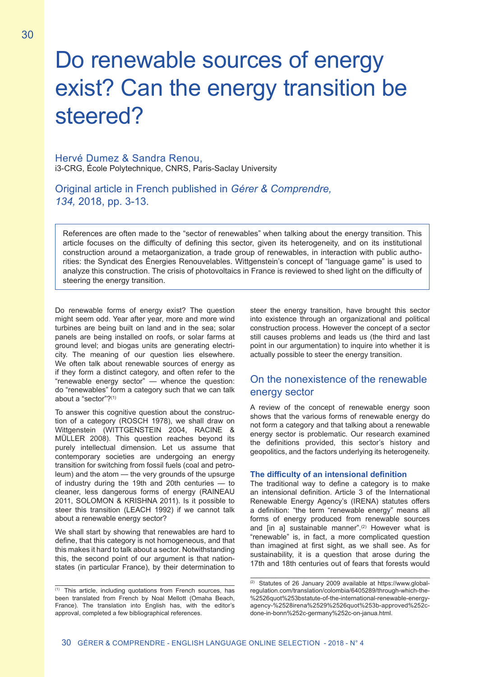# Do renewable sources of energy exist? Can the energy transition be steered?

## Hervé Dumez & Sandra Renou, i3-CRG, École Polytechnique, CNRS, Paris-Saclay University

Original article in French published in *Gérer & Comprendre, 134,* 2018, pp. 3-13.

References are often made to the "sector of renewables" when talking about the energy transition. This article focuses on the difficulty of defining this sector, given its heterogeneity, and on its institutional construction around a metaorganization, a trade group of renewables, in interaction with public authorities: the Syndicat des Énergies Renouvelables. Wittgenstein's concept of "language game" is used to analyze this construction. The crisis of photovoltaics in France is reviewed to shed light on the difficulty of steering the energy transition.

Do renewable forms of energy exist? The question might seem odd. Year after year, more and more wind turbines are being built on land and in the sea; solar panels are being installed on roofs, or solar farms at ground level; and biogas units are generating electricity. The meaning of our question lies elsewhere. We often talk about renewable sources of energy as if they form a distinct category, and often refer to the "renewable energy sector" — whence the question: do "renewables" form a category such that we can talk about a "sector"?(1)

To answer this cognitive question about the construction of a category (ROSCH 1978), we shall draw on Wittgenstein (WITTGENSTEIN 2004, RACINE & MÜLLER 2008). This question reaches beyond its purely intellectual dimension. Let us assume that contemporary societies are undergoing an energy transition for switching from fossil fuels (coal and petroleum) and the atom — the very grounds of the upsurge of industry during the 19th and 20th centuries — to cleaner, less dangerous forms of energy (RAINEAU 2011, SOLOMON & KRISHNA 2011). Is it possible to steer this transition (LEACH 1992) if we cannot talk about a renewable energy sector?

We shall start by showing that renewables are hard to define, that this category is not homogeneous, and that this makes it hard to talk about a sector. Notwithstanding this, the second point of our argument is that nationstates (in particular France), by their determination to steer the energy transition, have brought this sector into existence through an organizational and political construction process. However the concept of a sector still causes problems and leads us (the third and last point in our argumentation) to inquire into whether it is actually possible to steer the energy transition.

## On the nonexistence of the renewable energy sector

A review of the concept of renewable energy soon shows that the various forms of renewable energy do not form a category and that talking about a renewable energy sector is problematic. Our research examined the definitions provided, this sector's history and geopolitics, and the factors underlying its heterogeneity.

## **The difficulty of an intensional definition**

The traditional way to define a category is to make an intensional definition. Article 3 of the International Renewable Energy Agency's (IRENA) statutes offers a definition: "the term "renewable energy" means all forms of energy produced from renewable sources and [in a] sustainable manner".<sup>(2)</sup> However what is "renewable" is, in fact, a more complicated question than imagined at first sight, as we shall see. As for sustainability, it is a question that arose during the 17th and 18th centuries out of fears that forests would

<sup>(1)</sup> This article, including quotations from French sources, has been translated from French by Noal Mellott (Omaha Beach, France). The translation into English has, with the editor's approval, completed a few bibliographical references.

<sup>(2)</sup> Statutes of 26 January 2009 available at https://www.globalregulation.com/translation/colombia/6405289/through-which-the- %2526quot%253bstatute-of-the-international-renewable-energyagency-%2528irena%2529%2526quot%253b-approved%252cdone-in-bonn%252c-germany%252c-on-janua.html.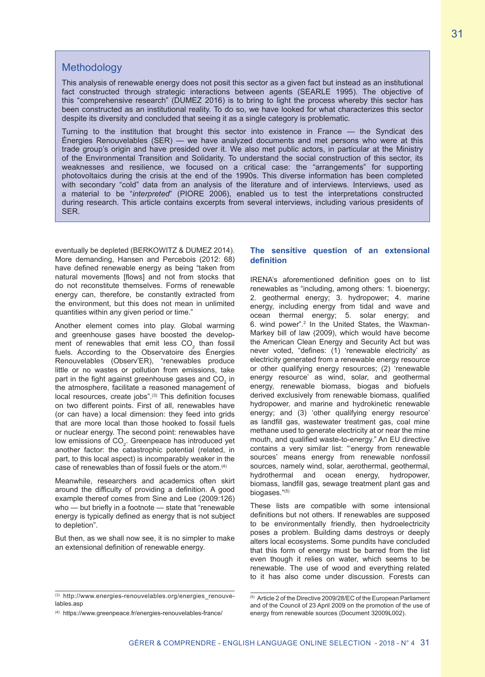# **Methodology**

This analysis of renewable energy does not posit this sector as a given fact but instead as an institutional fact constructed through strategic interactions between agents (SEARLE 1995). The objective of this "comprehensive research" (DUMEZ 2016) is to bring to light the process whereby this sector has been constructed as an institutional reality. To do so, we have looked for what characterizes this sector despite its diversity and concluded that seeing it as a single category is problematic.

Turning to the institution that brought this sector into existence in France — the Syndicat des Énergies Renouvelables (SER) — we have analyzed documents and met persons who were at this trade group's origin and have presided over it. We also met public actors, in particular at the Ministry of the Environmental Transition and Solidarity. To understand the social construction of this sector, its weaknesses and resilience, we focused on a critical case: the "arrangements" for supporting photovoltaics during the crisis at the end of the 1990s. This diverse information has been completed with secondary "cold" data from an analysis of the literature and of interviews. Interviews, used as a material to be "*interpreted*" (PIORE 2006), enabled us to test the interpretations constructed during research. This article contains excerpts from several interviews, including various presidents of SER.

eventually be depleted (BERKOWITZ & DUMEZ 2014). More demanding, Hansen and Percebois (2012: 68) have defined renewable energy as being "taken from natural movements [flows] and not from stocks that do not reconstitute themselves. Forms of renewable energy can, therefore, be constantly extracted from the environment, but this does not mean in unlimited quantities within any given period or time."

Another element comes into play. Global warming and greenhouse gases have boosted the development of renewables that emit less  $CO<sub>2</sub>$  than fossil fuels. According to the Observatoire des Énergies Renouvelables (Observ'ER), "renewables produce little or no wastes or pollution from emissions, take part in the fight against greenhouse gases and  $\mathrm{CO}_2$  in the atmosphere, facilitate a reasoned management of local resources, create jobs".<sup>(3)</sup> This definition focuses on two different points. First of all, renewables have (or can have) a local dimension: they feed into grids that are more local than those hooked to fossil fuels or nuclear energy. The second point: renewables have low emissions of CO $_2$ . Greenpeace has introduced yet another factor: the catastrophic potential (related, in part, to this local aspect) is incomparably weaker in the case of renewables than of fossil fuels or the atom.(4)

Meanwhile, researchers and academics often skirt around the difficulty of providing a definition. A good example thereof comes from Sine and Lee (2009:126) who — but briefly in a footnote — state that "renewable" energy is typically defined as energy that is not subject to depletion".

But then, as we shall now see, it is no simpler to make an extensional definition of renewable energy.

## **The sensitive question of an extensional definition**

IRENA's aforementioned definition goes on to list renewables as "including, among others: 1. bioenergy; 2. geothermal energy; 3. hydropower; 4. marine energy, including energy from tidal and wave and ocean thermal energy; 5. solar energy; and 6. wind power".2 In the United States, the Waxman-Markey bill of law (2009), which would have become the American Clean Energy and Security Act but was never voted, "defines: (1) 'renewable electricity' as electricity generated from a renewable energy resource or other qualifying energy resources; (2) 'renewable energy resource' as wind, solar, and geothermal energy, renewable biomass, biogas and biofuels derived exclusively from renewable biomass, qualified hydropower, and marine and hydrokinetic renewable energy; and (3) 'other qualifying energy resource' as landfill gas, wastewater treatment gas, coal mine methane used to generate electricity at or near the mine mouth, and qualified waste-to-energy." An EU directive contains a very similar list: "'energy from renewable sources' means energy from renewable nonfossil sources, namely wind, solar, aerothermal, geothermal, hydrothermal and ocean energy, hydropower, biomass, landfill gas, sewage treatment plant gas and biogases."(5)

These lists are compatible with some intensional definitions but not others. If renewables are supposed to be environmentally friendly, then hydroelectricity poses a problem. Building dams destroys or deeply alters local ecosystems. Some pundits have concluded that this form of energy must be barred from the list even though it relies on water, which seems to be renewable. The use of wood and everything related to it has also come under discussion. Forests can

<sup>(3)</sup> http://www.energies-renouvelables.org/energies renouvelables.asp

<sup>(4)</sup> https://www.greenpeace.fr/energies-renouvelables-france/

<sup>(5)</sup> Article 2 of the Directive 2009/28/EC of the European Parliament and of the Council of 23 April 2009 on the promotion of the use of energy from renewable sources (Document 32009L002).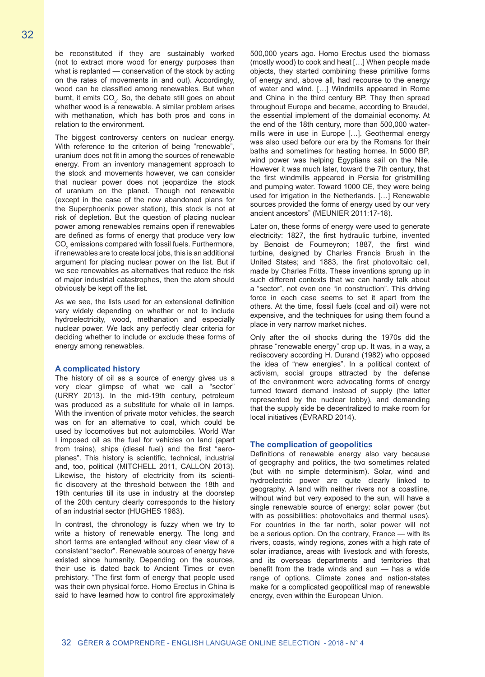be reconstituted if they are sustainably worked (not to extract more wood for energy purposes than what is replanted — conservation of the stock by acting on the rates of movements in and out). Accordingly, wood can be classified among renewables. But when burnt, it emits  $CO<sub>2</sub>$ . So, the debate still goes on about whether wood is a renewable. A similar problem arises with methanation, which has both pros and cons in relation to the environment.

The biggest controversy centers on nuclear energy. With reference to the criterion of being "renewable", uranium does not fit in among the sources of renewable energy. From an inventory management approach to the stock and movements however, we can consider that nuclear power does not jeopardize the stock of uranium on the planet. Though not renewable (except in the case of the now abandoned plans for the Superphoenix power station), this stock is not at risk of depletion. But the question of placing nuclear power among renewables remains open if renewables are defined as forms of energy that produce very low  $\mathsf{CO}_2$  emissions compared with fossil fuels. Furthermore, if renewables are to create local jobs, this is an additional argument for placing nuclear power on the list. But if we see renewables as alternatives that reduce the risk of major industrial catastrophes, then the atom should obviously be kept off the list.

As we see, the lists used for an extensional definition vary widely depending on whether or not to include hydroelectricity, wood, methanation and especially nuclear power. We lack any perfectly clear criteria for deciding whether to include or exclude these forms of energy among renewables.

#### **A complicated history**

The history of oil as a source of energy gives us a very clear glimpse of what we call a "sector" (URRY 2013). In the mid-19th century, petroleum was produced as a substitute for whale oil in lamps. With the invention of private motor vehicles, the search was on for an alternative to coal, which could be used by locomotives but not automobiles. World War I imposed oil as the fuel for vehicles on land (apart from trains), ships (diesel fuel) and the first "aeroplanes". This history is scientific, technical, industrial and, too, political (MITCHELL 2011, CALLON 2013). Likewise, the history of electricity from its scientific discovery at the threshold between the 18th and 19th centuries till its use in industry at the doorstep of the 20th century clearly corresponds to the history of an industrial sector (HUGHES 1983).

In contrast, the chronology is fuzzy when we try to write a history of renewable energy. The long and short terms are entangled without any clear view of a consistent "sector". Renewable sources of energy have existed since humanity. Depending on the sources, their use is dated back to Ancient Times or even prehistory. "The first form of energy that people used was their own physical force. Homo Erectus in China is said to have learned how to control fire approximately 500,000 years ago. Homo Erectus used the biomass (mostly wood) to cook and heat […] When people made objects, they started combining these primitive forms of energy and, above all, had recourse to the energy of water and wind. […] Windmills appeared in Rome and China in the third century BP. They then spread throughout Europe and became, according to Braudel, the essential implement of the domainial economy. At the end of the 18th century, more than 500,000 watermills were in use in Europe […]. Geothermal energy was also used before our era by the Romans for their baths and sometimes for heating homes. In 5000 BP, wind power was helping Egyptians sail on the Nile. However it was much later, toward the 7th century, that the first windmills appeared in Persia for gristmilling and pumping water. Toward 1000 CE, they were being used for irrigation in the Netherlands. […] Renewable sources provided the forms of energy used by our very ancient ancestors" (MEUNIER 2011:17-18).

Later on, these forms of energy were used to generate electricity: 1827, the first hydraulic turbine, invented by Benoist de Fourneyron; 1887, the first wind turbine, designed by Charles Francis Brush in the United States; and 1883, the first photovoltaic cell, made by Charles Fritts. These inventions sprung up in such different contexts that we can hardly talk about a "sector", not even one "in construction". This driving force in each case seems to set it apart from the others. At the time, fossil fuels (coal and oil) were not expensive, and the techniques for using them found a place in very narrow market niches.

Only after the oil shocks during the 1970s did the phrase "renewable energy" crop up. It was, in a way, a rediscovery according H. Durand (1982) who opposed the idea of "new energies". In a political context of activism, social groups attracted by the defense of the environment were advocating forms of energy turned toward demand instead of supply (the latter represented by the nuclear lobby), and demanding that the supply side be decentralized to make room for local initiatives (ÉVRARD 2014).

### **The complication of geopolitics**

Definitions of renewable energy also vary because of geography and politics, the two sometimes related (but with no simple determinism). Solar, wind and hydroelectric power are quite clearly linked to geography. A land with neither rivers nor a coastline, without wind but very exposed to the sun, will have a single renewable source of energy: solar power (but with as possibilities: photovoltaics and thermal uses). For countries in the far north, solar power will not be a serious option. On the contrary, France — with its rivers, coasts, windy regions, zones with a high rate of solar irradiance, areas with livestock and with forests, and its overseas departments and territories that benefit from the trade winds and sun — has a wide range of options. Climate zones and nation-states make for a complicated geopolitical map of renewable energy, even within the European Union.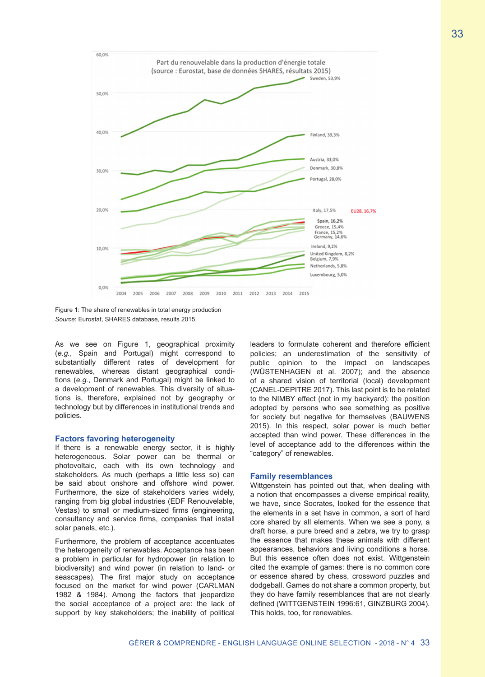

Figure 1: The share of renewables in total energy production *Source*: Eurostat, SHARES database, results 2015.

As we see on Figure 1, geographical proximity (*e.g.*, Spain and Portugal) might correspond to substantially different rates of development for renewables, whereas distant geographical conditions (*e.g.*, Denmark and Portugal) might be linked to a development of renewables. This diversity of situations is, therefore, explained not by geography or technology but by differences in institutional trends and policies.

#### **Factors favoring heterogeneity**

If there is a renewable energy sector, it is highly heterogeneous. Solar power can be thermal or photovoltaic, each with its own technology and stakeholders. As much (perhaps a little less so) can be said about onshore and offshore wind power. Furthermore, the size of stakeholders varies widely, ranging from big global industries (EDF Renouvelable, Vestas) to small or medium-sized firms (engineering, consultancy and service firms, companies that install solar panels, etc.).

Furthermore, the problem of acceptance accentuates the heterogeneity of renewables. Acceptance has been a problem in particular for hydropower (in relation to biodiversity) and wind power (in relation to land- or seascapes). The first major study on acceptance focused on the market for wind power (CARLMAN 1982 & 1984). Among the factors that jeopardize the social acceptance of a project are: the lack of support by key stakeholders; the inability of political leaders to formulate coherent and therefore efficient policies; an underestimation of the sensitivity of public opinion to the impact on landscapes (WÜSTENHAGEN et al. 2007); and the absence of a shared vision of territorial (local) development (CANEL-DEPITRE 2017). This last point is to be related to the NIMBY effect (not in my backyard): the position adopted by persons who see something as positive for society but negative for themselves (BAUWENS 2015). In this respect, solar power is much better accepted than wind power. These differences in the level of acceptance add to the differences within the "category" of renewables.

#### **Family resemblances**

Wittgenstein has pointed out that, when dealing with a notion that encompasses a diverse empirical reality, we have, since Socrates, looked for the essence that the elements in a set have in common, a sort of hard core shared by all elements. When we see a pony, a draft horse, a pure breed and a zebra, we try to grasp the essence that makes these animals with different appearances, behaviors and living conditions a horse. But this essence often does not exist. Wittgenstein cited the example of games: there is no common core or essence shared by chess, crossword puzzles and dodgeball. Games do not share a common property, but they do have family resemblances that are not clearly defined (WITTGENSTEIN 1996:61, GINZBURG 2004). This holds, too, for renewables.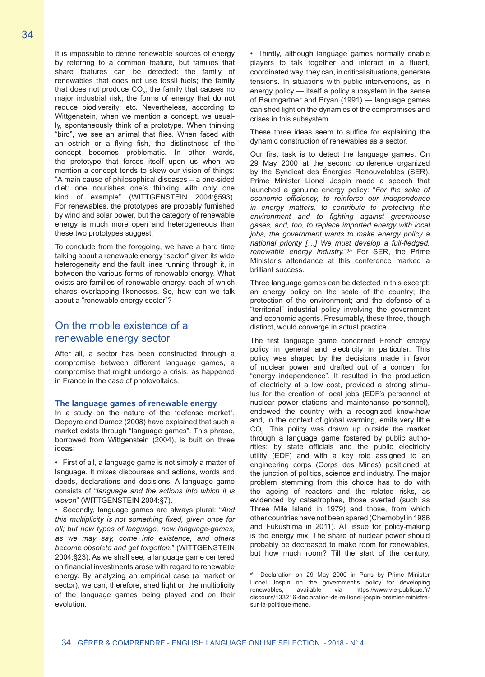It is impossible to define renewable sources of energy by referring to a common feature, but families that share features can be detected: the family of renewables that does not use fossil fuels; the family that does not produce  $CO_2$ ; the family that causes no major industrial risk; the forms of energy that do not reduce biodiversity; etc. Nevertheless, according to Wittgenstein, when we mention a concept, we usually, spontaneously think of a prototype. When thinking "bird", we see an animal that flies. When faced with an ostrich or a flying fish, the distinctness of the concept becomes problematic. In other words, the prototype that forces itself upon us when we mention a concept tends to skew our vision of things: "A main cause of philosophical diseases – a one-sided diet: one nourishes one's thinking with only one kind of example" (WITTGENSTEIN 2004:§593). For renewables, the prototypes are probably furnished by wind and solar power, but the category of renewable energy is much more open and heterogeneous than these two prototypes suggest.

To conclude from the foregoing, we have a hard time talking about a renewable energy "sector" given its wide heterogeneity and the fault lines running through it, in between the various forms of renewable energy. What exists are families of renewable energy, each of which shares overlapping likenesses. So, how can we talk about a "renewable energy sector"?

# On the mobile existence of a renewable energy sector

After all, a sector has been constructed through a compromise between different language games, a compromise that might undergo a crisis, as happened in France in the case of photovoltaics.

#### **The language games of renewable energy**

In a study on the nature of the "defense market", Depeyre and Dumez (2008) have explained that such a market exists through "language games". This phrase, borrowed from Wittgenstein (2004), is built on three ideas:

• First of all, a language game is not simply a matter of language. It mixes discourses and actions, words and deeds, declarations and decisions. A language game consists of "*language and the actions into which it is woven*" (WITTGENSTEIN 2004:§7).

• Secondly, language games are always plural: "*And this multiplicity is not something fixed, given once for all; but new types of language, new language-games, as we may say, come into existence, and others become obsolete and get forgotten.*" (WITTGENSTEIN 2004:§23). As we shall see, a language game centered on financial investments arose with regard to renewable energy. By analyzing an empirical case (a market or sector), we can, therefore, shed light on the multiplicity of the language games being played and on their evolution.

• Thirdly, although language games normally enable players to talk together and interact in a fluent, coordinated way, they can, in critical situations, generate tensions. In situations with public interventions, as in energy policy — itself a policy subsystem in the sense of Baumgartner and Bryan (1991) — language games can shed light on the dynamics of the compromises and crises in this subsystem.

These three ideas seem to suffice for explaining the dynamic construction of renewables as a sector.

Our first task is to detect the language games. On 29 May 2000 at the second conference organized by the Syndicat des Énergies Renouvelables (SER), Prime Minister Lionel Jospin made a speech that launched a genuine energy policy: "*For the sake of economic efficiency, to reinforce our independence in energy matters, to contribute to protecting the environment and to fighting against greenhouse gases, and, too, to replace imported energy with local jobs, the government wants to make energy policy a national priority […] We must develop a full-fledged, renewable energy industry.*"(6) For SER, the Prime Minister's attendance at this conference marked a brilliant success.

Three language games can be detected in this excerpt: an energy policy on the scale of the country; the protection of the environment; and the defense of a "territorial" industrial policy involving the government and economic agents. Presumably, these three, though distinct, would converge in actual practice.

The first language game concerned French energy policy in general and electricity in particular. This policy was shaped by the decisions made in favor of nuclear power and drafted out of a concern for "energy independence". It resulted in the production of electricity at a low cost, provided a strong stimulus for the creation of local jobs (EDF's personnel at nuclear power stations and maintenance personnel), endowed the country with a recognized know-how and, in the context of global warming, emits very little  $\mathsf{CO}_2^{\phantom{\prime}}$ . This policy was drawn up outside the market through a language game fostered by public authorities: by state officials and the public electricity utility (EDF) and with a key role assigned to an engineering corps (Corps des Mines) positioned at the junction of politics, science and industry. The major problem stemming from this choice has to do with the ageing of reactors and the related risks, as evidenced by catastrophes, those averted (such as Three Mile Island in 1979) and those, from which other countries have not been spared (Chernobyl in 1986 and Fukushima in 2011). AT issue for policy-making is the energy mix. The share of nuclear power should probably be decreased to make room for renewables, but how much room? Till the start of the century,

<sup>(6)</sup> Declaration on 29 May 2000 in Paris by Prime Minister Lionel Jospin on the government's policy for developing<br>renewables available via https://www.vie-publique.fr/ renewables, available via https://www.vie-publique.fr/ discours/133216-declaration-de-m-lionel-jospin-premier-ministresur-la-politique-mene.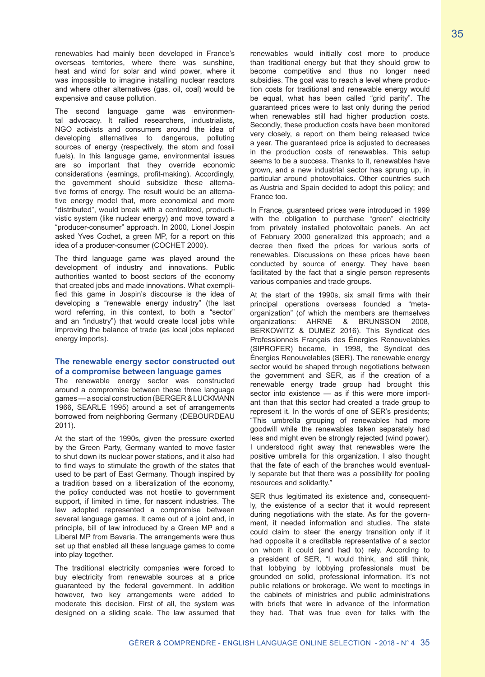renewables had mainly been developed in France's overseas territories, where there was sunshine, heat and wind for solar and wind power, where it was impossible to imagine installing nuclear reactors and where other alternatives (gas, oil, coal) would be expensive and cause pollution.

The second language game was environmental advocacy. It rallied researchers, industrialists, NGO activists and consumers around the idea of developing alternatives to dangerous, polluting sources of energy (respectively, the atom and fossil fuels). In this language game, environmental issues are so important that they override economic considerations (earnings, profit-making). Accordingly, the government should subsidize these alternative forms of energy. The result would be an alternative energy model that, more economical and more "distributed", would break with a centralized, productivistic system (like nuclear energy) and move toward a "producer-consumer" approach. In 2000, Lionel Jospin asked Yves Cochet, a green MP, for a report on this idea of a producer-consumer (COCHET 2000).

The third language game was played around the development of industry and innovations. Public authorities wanted to boost sectors of the economy that created jobs and made innovations. What exemplified this game in Jospin's discourse is the idea of developing a "renewable energy industry" (the last word referring, in this context, to both a "sector" and an "industry") that would create local jobs while improving the balance of trade (as local jobs replaced energy imports).

## **The renewable energy sector constructed out of a compromise between language games**

The renewable energy sector was constructed around a compromise between these three language games — a social construction (BERGER & LUCKMANN 1966, SEARLE 1995) around a set of arrangements borrowed from neighboring Germany (DEBOURDEAU 2011).

At the start of the 1990s, given the pressure exerted by the Green Party, Germany wanted to move faster to shut down its nuclear power stations, and it also had to find ways to stimulate the growth of the states that used to be part of East Germany. Though inspired by a tradition based on a liberalization of the economy, the policy conducted was not hostile to government support, if limited in time, for nascent industries. The law adopted represented a compromise between several language games. It came out of a joint and, in principle, bill of law introduced by a Green MP and a Liberal MP from Bavaria. The arrangements were thus set up that enabled all these language games to come into play together.

The traditional electricity companies were forced to buy electricity from renewable sources at a price guaranteed by the federal government. In addition however, two key arrangements were added to moderate this decision. First of all, the system was designed on a sliding scale. The law assumed that renewables would initially cost more to produce than traditional energy but that they should grow to become competitive and thus no longer need subsidies. The goal was to reach a level where production costs for traditional and renewable energy would be equal, what has been called "grid parity". The guaranteed prices were to last only during the period when renewables still had higher production costs. Secondly, these production costs have been monitored very closely, a report on them being released twice a year. The guaranteed price is adjusted to decreases in the production costs of renewables. This setup seems to be a success. Thanks to it, renewables have grown, and a new industrial sector has sprung up, in particular around photovoltaics. Other countries such as Austria and Spain decided to adopt this policy; and France too.

In France, guaranteed prices were introduced in 1999 with the obligation to purchase "green" electricity from privately installed photovoltaic panels. An act of February 2000 generalized this approach; and a decree then fixed the prices for various sorts of renewables. Discussions on these prices have been conducted by source of energy. They have been facilitated by the fact that a single person represents various companies and trade groups.

At the start of the 1990s, six small firms with their principal operations overseas founded a "metaorganization" (of which the members are themselves organizations: AHRNE & BRUNSSON 2008, BERKOWITZ & DUMEZ 2016). This Syndicat des Professionnels Français des Énergies Renouvelables (SIPROFER) became, in 1998, the Syndicat des Énergies Renouvelables (SER). The renewable energy sector would be shaped through negotiations between the government and SER, as if the creation of a renewable energy trade group had brought this sector into existence — as if this were more important than that this sector had created a trade group to represent it. In the words of one of SER's presidents; "This umbrella grouping of renewables had more goodwill while the renewables taken separately had less and might even be strongly rejected (wind power). I understood right away that renewables were the positive umbrella for this organization. I also thought that the fate of each of the branches would eventually separate but that there was a possibility for pooling resources and solidarity."

SER thus legitimated its existence and, consequently, the existence of a sector that it would represent during negotiations with the state. As for the government, it needed information and studies. The state could claim to steer the energy transition only if it had opposite it a creditable representative of a sector on whom it could (and had to) rely. According to a president of SER, "I would think, and still think, that lobbying by lobbying professionals must be grounded on solid, professional information. It's not public relations or brokerage. We went to meetings in the cabinets of ministries and public administrations with briefs that were in advance of the information they had. That was true even for talks with the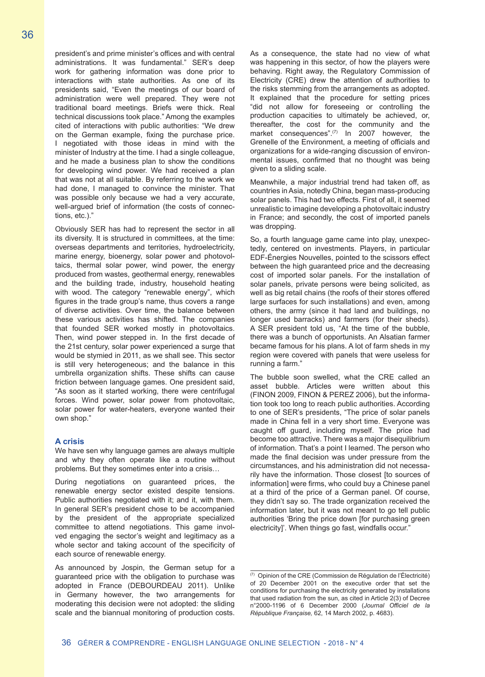president's and prime minister's offices and with central administrations. It was fundamental." SER's deep work for gathering information was done prior to interactions with state authorities. As one of its presidents said, "Even the meetings of our board of administration were well prepared. They were not traditional board meetings. Briefs were thick. Real technical discussions took place." Among the examples cited of interactions with public authorities: "We drew on the German example, fixing the purchase price. I negotiated with those ideas in mind with the minister of Industry at the time. I had a single colleague, and he made a business plan to show the conditions for developing wind power. We had received a plan that was not at all suitable. By referring to the work we had done, I managed to convince the minister. That was possible only because we had a very accurate, well-argued brief of information (the costs of connections, etc.)."

Obviously SER has had to represent the sector in all its diversity. It is structured in committees, at the time: overseas departments and territories, hydroelectricity, marine energy, bioenergy, solar power and photovoltaics, thermal solar power, wind power, the energy produced from wastes, geothermal energy, renewables and the building trade, industry, household heating with wood. The category "renewable energy", which figures in the trade group's name, thus covers a range of diverse activities. Over time, the balance between these various activities has shifted. The companies that founded SER worked mostly in photovoltaics. Then, wind power stepped in. In the first decade of the 21st century, solar power experienced a surge that would be stymied in 2011, as we shall see. This sector is still very heterogeneous; and the balance in this umbrella organization shifts. These shifts can cause friction between language games. One president said, "As soon as it started working, there were centrifugal forces. Wind power, solar power from photovoltaic, solar power for water-heaters, everyone wanted their own shop."

#### **A crisis**

We have sen why language games are always multiple and why they often operate like a routine without problems. But they sometimes enter into a crisis…

During negotiations on guaranteed prices, the renewable energy sector existed despite tensions. Public authorities negotiated with it; and it, with them. In general SER's president chose to be accompanied by the president of the appropriate specialized committee to attend negotiations. This game involved engaging the sector's weight and legitimacy as a whole sector and taking account of the specificity of each source of renewable energy.

As announced by Jospin, the German setup for a guaranteed price with the obligation to purchase was adopted in France (DEBOURDEAU 2011). Unlike in Germany however, the two arrangements for moderating this decision were not adopted: the sliding scale and the biannual monitoring of production costs. As a consequence, the state had no view of what was happening in this sector, of how the players were behaving. Right away, the Regulatory Commission of Electricity (CRE) drew the attention of authorities to the risks stemming from the arrangements as adopted. It explained that the procedure for setting prices "did not allow for foreseeing or controlling the production capacities to ultimately be achieved, or, thereafter, the cost for the community and the market consequences".<sup>(7)</sup> In 2007 however, the Grenelle of the Environment, a meeting of officials and organizations for a wide-ranging discussion of environmental issues, confirmed that no thought was being given to a sliding scale.

Meanwhile, a major industrial trend had taken off, as countries in Asia, notedly China, began mass-producing solar panels. This had two effects. First of all, it seemed unrealistic to imagine developing a photovoltaic industry in France; and secondly, the cost of imported panels was dropping.

So, a fourth language game came into play, unexpectedly, centered on investments. Players, in particular EDF-Énergies Nouvelles, pointed to the scissors effect between the high guaranteed price and the decreasing cost of imported solar panels. For the installation of solar panels, private persons were being solicited, as well as big retail chains (the roofs of their stores offered large surfaces for such installations) and even, among others, the army (since it had land and buildings, no longer used barracks) and farmers (for their sheds). A SER president told us, "At the time of the bubble, there was a bunch of opportunists. An Alsatian farmer became famous for his plans. A lot of farm sheds in my region were covered with panels that were useless for running a farm."

The bubble soon swelled, what the CRE called an asset bubble. Articles were written about this (FINON 2009, FINON & PEREZ 2006), but the information took too long to reach public authorities. According to one of SER's presidents, "The price of solar panels made in China fell in a very short time. Everyone was caught off guard, including myself. The price had become too attractive. There was a major disequilibrium of information. That's a point I learned. The person who made the final decision was under pressure from the circumstances, and his administration did not necessarily have the information. Those closest [to sources of information] were firms, who could buy a Chinese panel at a third of the price of a German panel. Of course, they didn't say so. The trade organization received the information later, but it was not meant to go tell public authorities 'Bring the price down [for purchasing green electricity]'. When things go fast, windfalls occur."

 $(7)$  Opinion of the CRE (Commission de Régulation de l'Électricité) of 20 December 2001 on the executive order that set the conditions for purchasing the electricity generated by installations that used radiation from the sun, as cited in Article 2(3) of Decree n°2000-1196 of 6 December 2000 (*Journal Officiel de la République Française,* 62, 14 March 2002, p. 4683).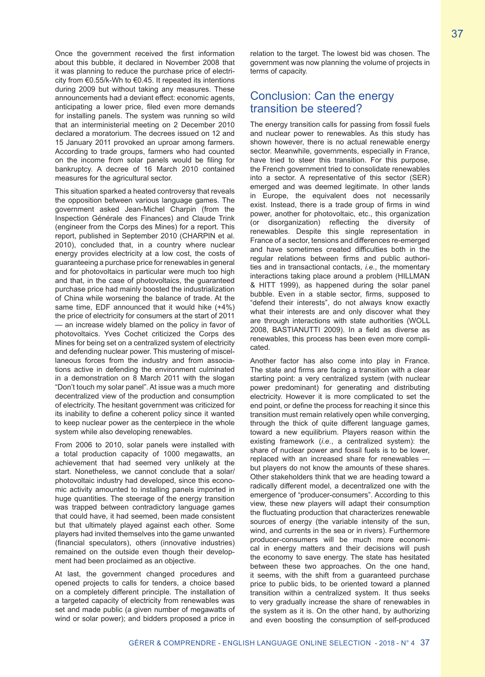Once the government received the first information about this bubble, it declared in November 2008 that it was planning to reduce the purchase price of electricity from €0.55/k-Wh to €0.45. It repeated its intentions during 2009 but without taking any measures. These announcements had a deviant effect: economic agents, anticipating a lower price, filed even more demands for installing panels. The system was running so wild that an interministerial meeting on 2 December 2010 declared a moratorium. The decrees issued on 12 and 15 January 2011 provoked an uproar among farmers. According to trade groups, farmers who had counted on the income from solar panels would be filing for bankruptcy. A decree of 16 March 2010 contained measures for the agricultural sector.

This situation sparked a heated controversy that reveals the opposition between various language games. The government asked Jean-Michel Charpin (from the Inspection Générale des Finances) and Claude Trink (engineer from the Corps des Mines) for a report. This report, published in September 2010 (CHARPIN et al. 2010), concluded that, in a country where nuclear energy provides electricity at a low cost, the costs of guaranteeing a purchase price for renewables in general and for photovoltaics in particular were much too high and that, in the case of photovoltaics, the guaranteed purchase price had mainly boosted the industrialization of China while worsening the balance of trade. At the same time, EDF announced that it would hike (+4%) the price of electricity for consumers at the start of 2011 — an increase widely blamed on the policy in favor of photovoltaics. Yves Cochet criticized the Corps des Mines for being set on a centralized system of electricity and defending nuclear power. This mustering of miscellaneous forces from the industry and from associations active in defending the environment culminated in a demonstration on 8 March 2011 with the slogan "Don't touch my solar panel". At issue was a much more decentralized view of the production and consumption of electricity. The hesitant government was criticized for its inability to define a coherent policy since it wanted to keep nuclear power as the centerpiece in the whole system while also developing renewables.

From 2006 to 2010, solar panels were installed with a total production capacity of 1000 megawatts, an achievement that had seemed very unlikely at the start. Nonetheless, we cannot conclude that a solar/ photovoltaic industry had developed, since this economic activity amounted to installing panels imported in huge quantities. The steerage of the energy transition was trapped between contradictory language games that could have, it had seemed, been made consistent but that ultimately played against each other. Some players had invited themselves into the game unwanted (financial speculators), others (innovative industries) remained on the outside even though their development had been proclaimed as an objective.

At last, the government changed procedures and opened projects to calls for tenders, a choice based on a completely different principle. The installation of a targeted capacity of electricity from renewables was set and made public (a given number of megawatts of wind or solar power); and bidders proposed a price in

relation to the target. The lowest bid was chosen. The government was now planning the volume of projects in terms of capacity.

# Conclusion: Can the energy transition be steered?

The energy transition calls for passing from fossil fuels and nuclear power to renewables. As this study has shown however, there is no actual renewable energy sector. Meanwhile, governments, especially in France, have tried to steer this transition. For this purpose, the French government tried to consolidate renewables into a sector. A representative of this sector (SER) emerged and was deemed legitimate. In other lands in Europe, the equivalent does not necessarily exist. Instead, there is a trade group of firms in wind power, another for photovoltaic, etc., this organization (or disorganization) reflecting the diversity of renewables. Despite this single representation in France of a sector, tensions and differences re-emerged and have sometimes created difficulties both in the regular relations between firms and public authorities and in transactional contacts, *i.e.*, the momentary interactions taking place around a problem (HILLMAN & HITT 1999), as happened during the solar panel bubble. Even in a stable sector, firms, supposed to "defend their interests", do not always know exactly what their interests are and only discover what they are through interactions with state authorities (WOLL 2008, BASTIANUTTI 2009). In a field as diverse as renewables, this process has been even more complicated.

Another factor has also come into play in France. The state and firms are facing a transition with a clear starting point: a very centralized system (with nuclear power predominant) for generating and distributing electricity. However it is more complicated to set the end point, or define the process for reaching it since this transition must remain relatively open while converging, through the thick of quite different language games, toward a new equilibrium. Players reason within the existing framework (*i.e.*, a centralized system): the share of nuclear power and fossil fuels is to be lower, replaced with an increased share for renewables but players do not know the amounts of these shares. Other stakeholders think that we are heading toward a radically different model, a decentralized one with the emergence of "producer-consumers". According to this view, these new players will adapt their consumption the fluctuating production that characterizes renewable sources of energy (the variable intensity of the sun, wind, and currents in the sea or in rivers). Furthermore producer-consumers will be much more economical in energy matters and their decisions will push the economy to save energy. The state has hesitated between these two approaches. On the one hand, it seems, with the shift from a guaranteed purchase price to public bids, to be oriented toward a planned transition within a centralized system. It thus seeks to very gradually increase the share of renewables in the system as it is. On the other hand, by authorizing and even boosting the consumption of self-produced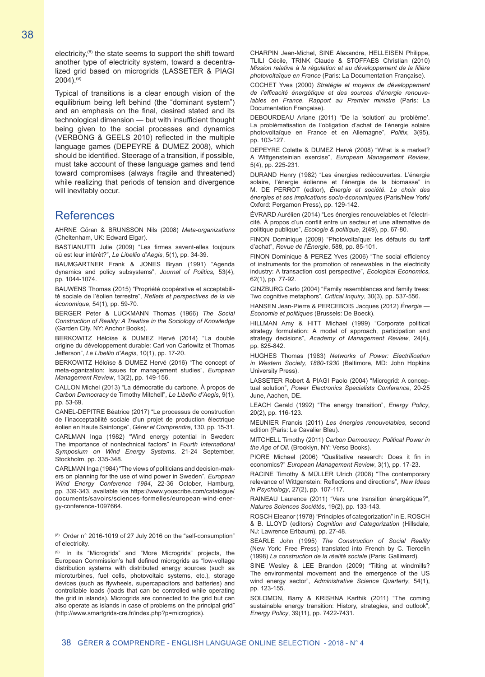electricity,(8) the state seems to support the shift toward another type of electricity system, toward a decentralized grid based on microgrids (LASSETER & PIAGI  $2004$ ).<sup>(9)</sup>

Typical of transitions is a clear enough vision of the equilibrium being left behind (the "dominant system") and an emphasis on the final, desired stated and its technological dimension — but with insufficient thought being given to the social processes and dynamics (VERBONG & GEELS 2010) reflected in the multiple language games (DEPEYRE & DUMEZ 2008), which should be identified. Steerage of a transition, if possible, must take account of these language games and tend toward compromises (always fragile and threatened) while realizing that periods of tension and divergence will inevitably occur.

# References

AHRNE Göran & BRUNSSON Nils (2008) *Meta-organizations* (Cheltenham, UK: Edward Elgar).

BASTIANUTTI Julie (2009) "Les firmes savent-elles toujours où est leur intérêt?", *Le Libellio d'Aegis*, 5(1), pp. 34-39.

BAUMGARTNER Frank & JONES Bryan (1991) "Agenda dynamics and policy subsystems", *Journal of Politics*, 53(4), pp. 1044-1074.

BAUWENS Thomas (2015) "Propriété coopérative et acceptabilité sociale de l'éolien terrestre", *Reflets et perspectives de la vie économique*, 54(1), pp. 59-70.

BERGER Peter & LUCKMANN Thomas (1966) *The Social Construction of Reality: A Treatise in the Sociology of Knowledge* (Garden City, NY: Anchor Books).

BERKOWITZ Héloïse & DUMEZ Hervé (2014) "La double origine du développement durable: Carl von Carlowitz et Thomas Jefferson", *Le Libellio d'Aegis*, 10(1), pp. 17-20.

BERKOWITZ Héloïse & DUMEZ Hervé (2016) "The concept of meta-oganization: Issues for management studies", *European Management Review*, 13(2), pp. 149-156.

CALLON Michel (2013) "La démocratie du carbone. À propos de *Carbon Democracy* de Timothy Mitchell", *Le Libellio d'Aegis*, 9(1), pp. 53-69.

CANEL-DEPITRE Béatrice (2017) "Le processus de construction de l'inacceptabilité sociale d'un projet de production électrique éolien en Haute Saintonge", *Gérer et Comprendre*, 130, pp. 15-31.

CARLMAN Inga (1982) "Wind energy potential in Sweden: The importance of nontechnical factors" in *Fourth International Symposium on Wind Energy Systems*. 21-24 September, Stockholm, pp. 335-348.

CARLMAN Inga (1984) "The views of politicians and decision-makers on planning for the use of wind power in Sweden", *European Wind Energy Conference 1984*, 22-36 October, Hamburg, pp. 339-343, available via https://www.youscribe.com/catalogue/ documents/savoirs/sciences-formelles/european-wind-energy-conference-1097664.

(8) Order n° 2016-1019 of 27 July 2016 on the "self-consumption" of electricity.

(9) In its "Microgrids" and "More Microgrids" projects, the European Commission's hall defined microgrids as "low-voltage distribution systems with distributed energy sources (such as microturbines, fuel cells, photovoltaic systems, etc.), storage devices (such as flywheels, supercapacitors and batteries) and controllable loads (loads that can be controlled while operating the grid in islands). Microgrids are connected to the grid but can also operate as islands in case of problems on the principal grid" (http://www.smartgrids-cre.fr/index.php?p=microgrids).

CHARPIN Jean-Michel, SINE Alexandre, HELLEISEN Philippe, TLILI Cécile, TRINK Claude & STOFFAES Christian (2010) *Mission relative à la régulation et au développement de la filière photovoltaïque en France* (Paris: La Documentation Française).

COCHET Yves (2000) *Stratégie et moyens de développement de l'efficacité énergétique et des sources d'énergie renouvelables en France. Rapport au Premier ministre* (Paris: La Documentation Française).

DEBOURDEAU Ariane (2011) "De la 'solution' au 'problème'. La problématisation de l'obligation d'achat de l'énergie solaire photovoltaïque en France et en Allemagne", *Politix*, 3(95), pp. 103-127.

DEPEYRE Colette & DUMEZ Hervé (2008) "What is a market? A Wittgensteinian exercise", *European Management Review*, 5(4), pp. 225-231.

DURAND Henry (1982) "Les énergies redécouvertes. L'énergie solaire, l'énergie éolienne et l'énergie de la biomasse" in M. DE PERROT (editor), *Énergie et société. Le choix des énergies et ses implications socio-économiques* (Paris/New York/ Oxford: Pergamon Press), pp. 129-142.

ÉVRARD Aurélien (2014) "Les énergies renouvelables et l'électricité. À propos d'un conflit entre un secteur et une alternative de politique publique", *Ecologie & politique*, 2(49), pp. 67-80.

FINON Dominique (2009) "Photovoltaïque: les défauts du tarif d'achat", *Revue de l'Énergie*, 588, pp. 85-101.

FINON Dominique & PEREZ Yves (2006) "The social efficiency of instruments for the promotion of renewables in the electricity industry: A transaction cost perspective", *Ecological Economics*, 62(1), pp. 77-92.

GINZBURG Carlo (2004) "Family resemblances and family trees: Two cognitive metaphors", *Critical Inquiry*, 30(3), pp. 537-556.

HANSEN Jean-Pierre & PERCEBOIS Jacques (2012) *Énergie — Économie et politiques* (Brussels: De Boeck).

HILLMAN Amy & HITT Michael (1999) "Corporate political strategy formulation: A model of approach, participation and strategy decisions", *Academy of Management Review*, 24(4), pp. 825-842

HUGHES Thomas (1983) *Networks of Power: Electrification in Western Society, 1880-1930* (Baltimore, MD: John Hopkins University Press).

LASSETER Robert & PIAGI Paolo (2004) "Microgrid: A conceptual solution", *Power Electronics Specialists Conference*, 20-25 June, Aachen, DE.

LEACH Gerald (1992) "The energy transition", *Energy Policy*, 20(2), pp. 116-123.

MEUNIER Francis (2011) *Les énergies renouvelables*, second edition (Paris: Le Cavalier Bleu).

MITCHELL Timothy (2011) *Carbon Democracy: Political Power in the Age of Oil*. (Brooklyn, NY: Verso Books).

PIORE Michael (2006) "Qualitative research: Does it fin in economics?" *European Management Review*, 3(1), pp. 17-23.

RACINE Timothy & MÜLLER Ulrich (2008) "The contemporary relevance of Wittgenstein: Reflections and directions", *New Ideas in Psychology*, 27(2), pp. 107-117.

RAINEAU Laurence (2011) "Vers une transition énergétique?", *Natures Sciences Sociétés*, 19(2), pp. 133-143.

ROSCH Eleanor (1978) "Principles of categorization" in E. ROSCH & B. LLOYD (editors) *Cognition and Categorization* (Hillsdale, NJ: Lawrence Erlbaum), pp. 27-48.

SEARLE John (1995) *The Construction of Social Reality* (New York: Free Press) translated into French by C. Tiercelin (1998) *La construction de la réalité sociale* (Paris: Gallimard).

SINE Wesley & LEE Brandon (2009) "Tilting at windmills? The environmental movement and the emergence of the US wind energy sector", *Administrative Science Quarterly*, 54(1), pp. 123-155.

SOLOMON, Barry & KRISHNA Karthik (2011) "The coming sustainable energy transition: History, strategies, and outlook", *Energy Policy*, 39(11), pp. 7422-7431.